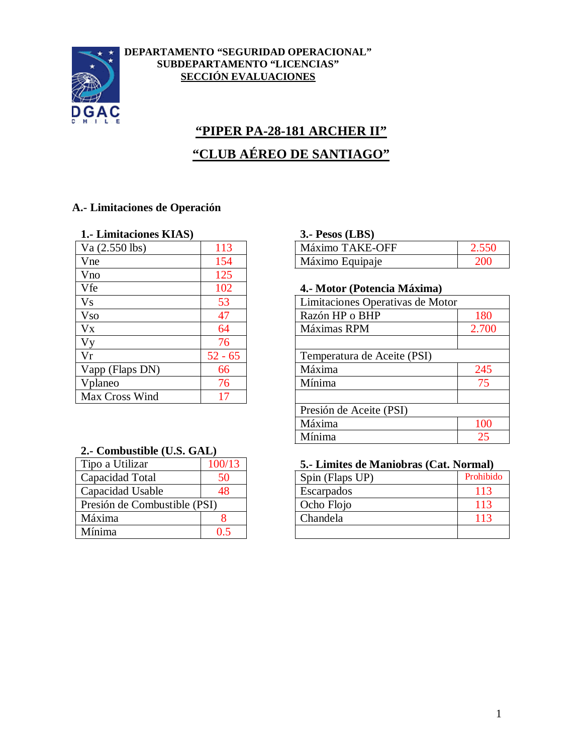

#### **DEPARTAMENTO "SEGURIDAD OPERACIONAL" SUBDEPARTAMENTO "LICENCIAS" SECCIÓN EVALUACIONES**

# **"PIPER PA-28-181 ARCHER II" "CLUB AÉREO DE SANTIAGO"**

### **A.- Limitaciones de Operación**

#### **1.- Limitaciones KIAS) 3.- Pesos (LBS)**

| $Va$ $(2.550$ lbs) | 113       | Máximo TAKE-OFF                  |
|--------------------|-----------|----------------------------------|
| Vne                | 154       | Máximo Equipaje                  |
| Vno                | 125       |                                  |
| Vfe                | 102       | 4.- Motor (Potencia Máxima)      |
| <b>Vs</b>          | 53        | Limitaciones Operativas de Motor |
| <b>Vso</b>         | 47        | Razón HP o BHP                   |
| Vx                 | 64        | Máximas RPM                      |
| Vy                 | 76        |                                  |
| Vr                 | $52 - 65$ | Temperatura de Aceite (PSI)      |
| Vapp (Flaps DN)    | 66        | Máxima                           |
| Vplaneo            | 76        | Mínima                           |
| Max Cross Wind     | 17        |                                  |
|                    |           |                                  |

#### **2.- Combustible (U.S. GAL)**

| Tipo a Utilizar              | 100/13 |
|------------------------------|--------|
| Capacidad Total              | 50     |
| Capacidad Usable             | 48     |
| Presión de Combustible (PSI) |        |
| Máxima                       |        |
| Mínima                       | D 5    |

| Va (2.550 lbs) | 11 <sup>7</sup> | <b>TAKE-OFF</b><br>Máximo |  |
|----------------|-----------------|---------------------------|--|
| Vne            | L 34            | Máximo Equipaje           |  |

#### Vfe 102 **4.- Motor (Potencia Máxima)**

| V <sub>S</sub>  | 53        | Limitaciones Operativas de Motor |       |
|-----------------|-----------|----------------------------------|-------|
| <b>Vso</b>      | 47        | Razón HP o BHP                   | 180   |
| $V_{X}$         | 64        | Máximas RPM                      | 2.700 |
| Vy              | 76        |                                  |       |
| Vr              | $52 - 65$ | Temperatura de Aceite (PSI)      |       |
| Vapp (Flaps DN) | 66        | Máxima                           | 245   |
| Vplaneo         | 76        | Mínima                           | 75    |
| Max Cross Wind  | 17        |                                  |       |
|                 |           | Presión de Aceite (PSI)          |       |
|                 |           | Máxima                           | 100   |
|                 |           | Mínima                           | 25    |
|                 |           |                                  |       |

#### 5.- Limites de Maniobras (Cat. Normal)

| Capacidad Total              | 50 | Spin (Flaps UP) | Prohibido       |
|------------------------------|----|-----------------|-----------------|
| Capacidad Usable             | 48 | Escarpados      | 11 <sup>2</sup> |
| Presión de Combustible (PSI) |    | Ocho Flojo      | 11 <sup>5</sup> |
| Máxima                       |    | Chandela        |                 |
| Mínima                       |    |                 |                 |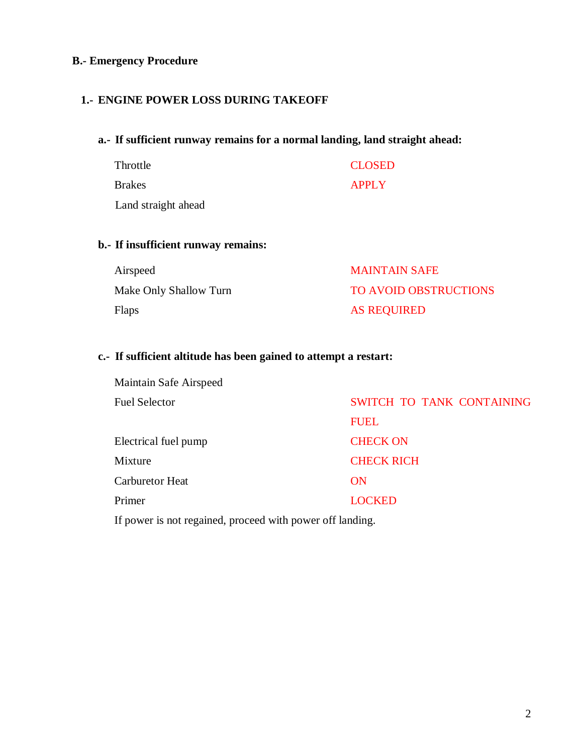#### **B.- Emergency Procedure**

#### **1.- ENGINE POWER LOSS DURING TAKEOFF**

#### **a.- If sufficient runway remains for a normal landing, land straight ahead:**

| Throttle            | <b>CLOSED</b> |
|---------------------|---------------|
| <b>Brakes</b>       | <b>APPLY</b>  |
| Land straight ahead |               |

#### **b.- If insufficient runway remains:**

| Airspeed               | <b>MAINTAIN SAFE</b>         |
|------------------------|------------------------------|
| Make Only Shallow Turn | <b>TO AVOID OBSTRUCTIONS</b> |
| <b>Flaps</b>           | AS REQUIRED                  |

### **c.- If sufficient altitude has been gained to attempt a restart:**

| Maintain Safe Airspeed |                           |
|------------------------|---------------------------|
| <b>Fuel Selector</b>   | SWITCH TO TANK CONTAINING |
|                        | <b>FUEL</b>               |
| Electrical fuel pump   | <b>CHECK ON</b>           |
| Mixture                | <b>CHECK RICH</b>         |
| Carburetor Heat        | <b>ON</b>                 |
| Primer                 | <b>LOCKED</b>             |

If power is not regained, proceed with power off landing.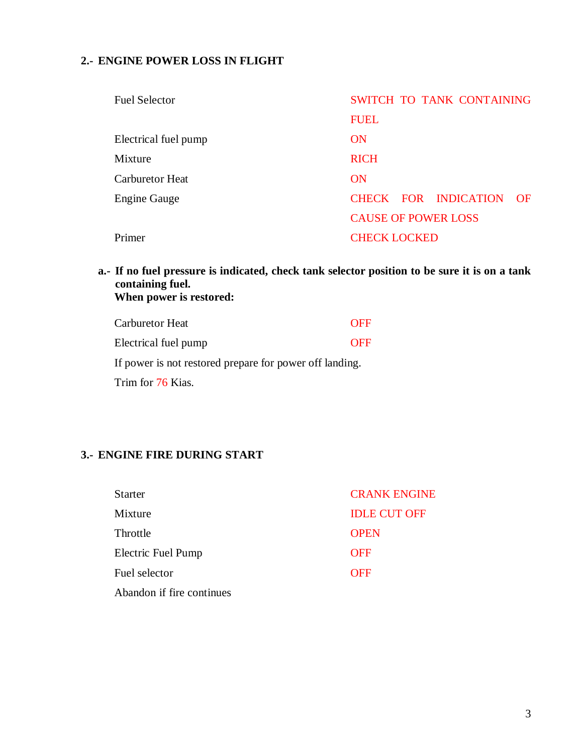## **2.- ENGINE POWER LOSS IN FLIGHT**

| <b>Fuel Selector</b>   | SWITCH TO TANK CONTAINING  |
|------------------------|----------------------------|
|                        | <b>FUEL</b>                |
| Electrical fuel pump   | ON                         |
| Mixture                | <b>RICH</b>                |
| <b>Carburetor Heat</b> | ON                         |
| <b>Engine Gauge</b>    | CHECK FOR INDICATION OF    |
|                        | <b>CAUSE OF POWER LOSS</b> |
| Primer                 | <b>CHECK LOCKED</b>        |
|                        |                            |

**a.- If no fuel pressure is indicated, check tank selector position to be sure it is on a tank containing fuel. When power is restored:**

| Carburetor Heat      | <b>OFF</b> |
|----------------------|------------|
| Electrical fuel pump | OFF        |

If power is not restored prepare for power off landing.

Trim for 76 Kias.

#### **3.- ENGINE FIRE DURING START**

| <b>Starter</b>            | <b>CRANK ENGINE</b> |
|---------------------------|---------------------|
| Mixture                   | <b>IDLE CUT OFF</b> |
| Throttle                  | <b>OPEN</b>         |
| <b>Electric Fuel Pump</b> | <b>OFF</b>          |
| Fuel selector             | <b>OFF</b>          |
| Abandon if fire continues |                     |